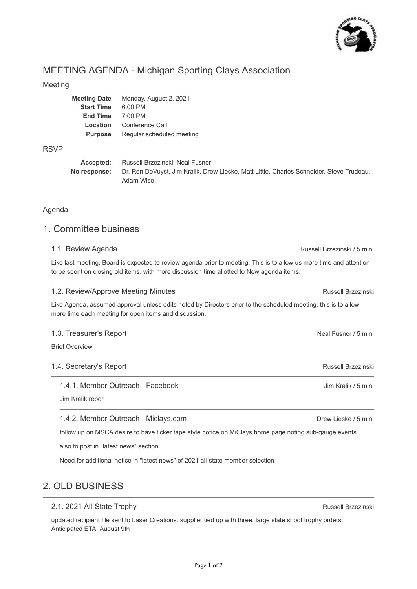

# MEETING AGENDA - Michigan Sporting Clays Association

#### Meeting

| <b>Meeting Date</b> | Monday, August 2, 2021    |
|---------------------|---------------------------|
| <b>Start Time</b>   | $6:00$ PM                 |
| <b>End Time</b>     | $7:00$ PM                 |
| Location            | Conference Call           |
| <b>Purpose</b>      | Regular scheduled meeting |
|                     |                           |

#### RSVP

| Accepted: | Russell Brzezinski, Neal Fusner                                                                       |
|-----------|-------------------------------------------------------------------------------------------------------|
|           | No response: Dr. Ron DeVuyst, Jim Kralik, Drew Lieske, Matt Little, Charles Schneider, Steve Trudeau, |
|           | Adam Wise                                                                                             |

### Agenda

# 1. Committee business

#### 1.1. Review Agenda

Like last meeting, Board is expected to review agenda prior to meeting. This is to allow us more time and attention to be spent on closing old items, with more discussion time allotted to New agenda items.

#### 1.2. Review/Approve Meeting Minutes

Like Agenda, assumed approval unless edits noted by Directors prior to the scheduled meeting. this is to allow more time each meeting for open items and discussion.

#### 1.3. Treasurer's Report

Brief Overview

#### 1.4. Secretary's Report

#### 1.4.1. Member Outreach - Facebook

Jim Kralik repor

#### 1.4.2. Member Outreach - Miclays.com

follow up on MSCA desire to have ticker tape style notice on MiClays home page noting sub-gauge events.

also to post in "latest news" section

Need for additional notice in "latest news" of 2021 all-state member selection

# 2. OLD BUSINESS

## 2.1. 2021 All-State Trophy

updated recipient file sent to Laser Creations. supplier tied up with three, large state shoot trophy orders. Anticipated ETA: August 9th

Russell Brzezinski / 5 min.

Russell Brzezinski

Neal Fusner / 5 min.

Russell Brzezinski

Jim Kralik / 5 min.

Drew Lieske / 5 min.

Russell Brzezinski